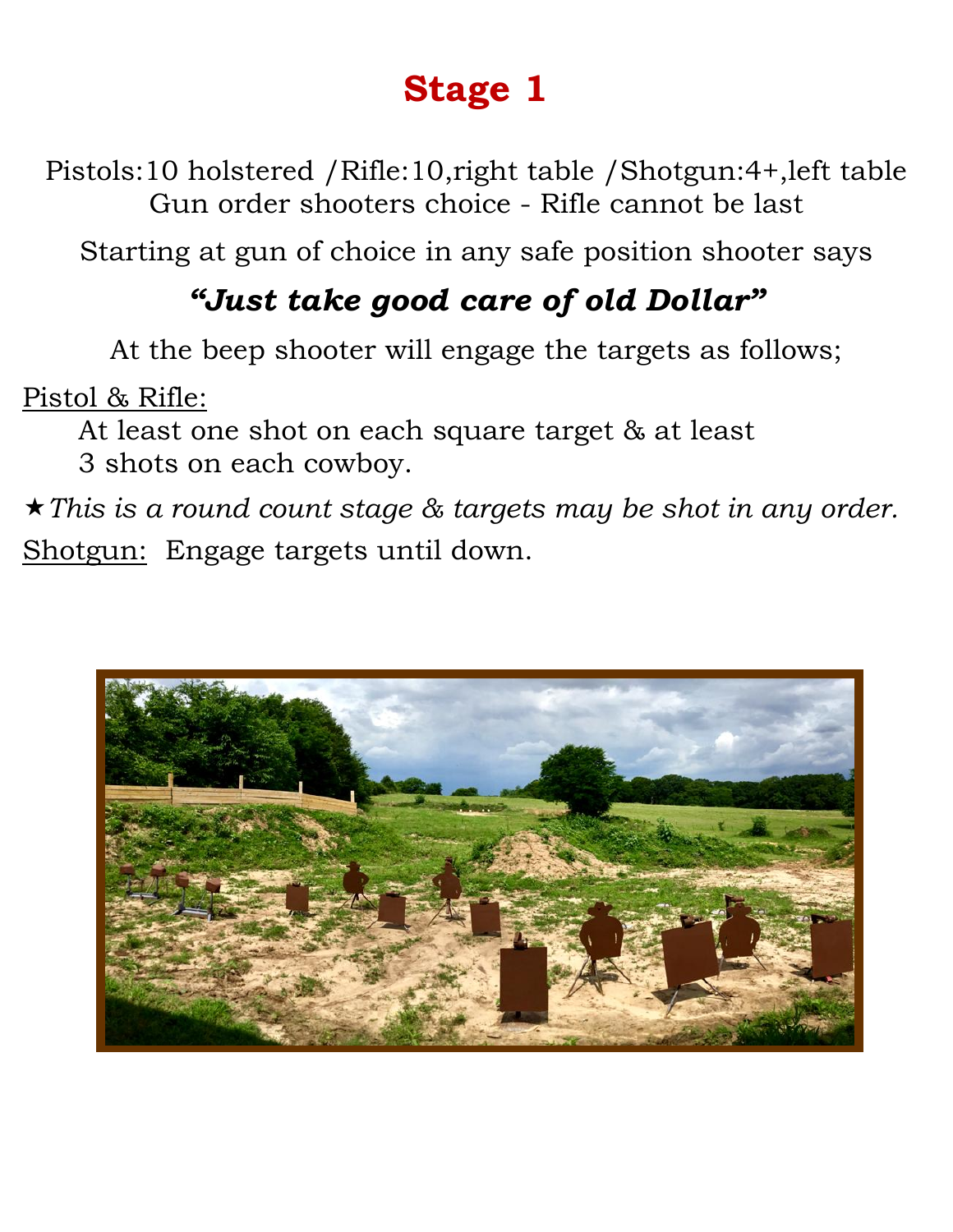Pistols:10 holstered /Rifle:10,right table /Shotgun:4+,left table Gun order shooters choice - Rifle cannot be last

Starting at gun of choice in any safe position shooter says

### *"Just take good care of old Dollar"*

At the beep shooter will engage the targets as follows;

Pistol & Rifle:

At least one shot on each square target & at least

3 shots on each cowboy.

*This is a round count stage & targets may be shot in any order.* Shotgun: Engage targets until down.

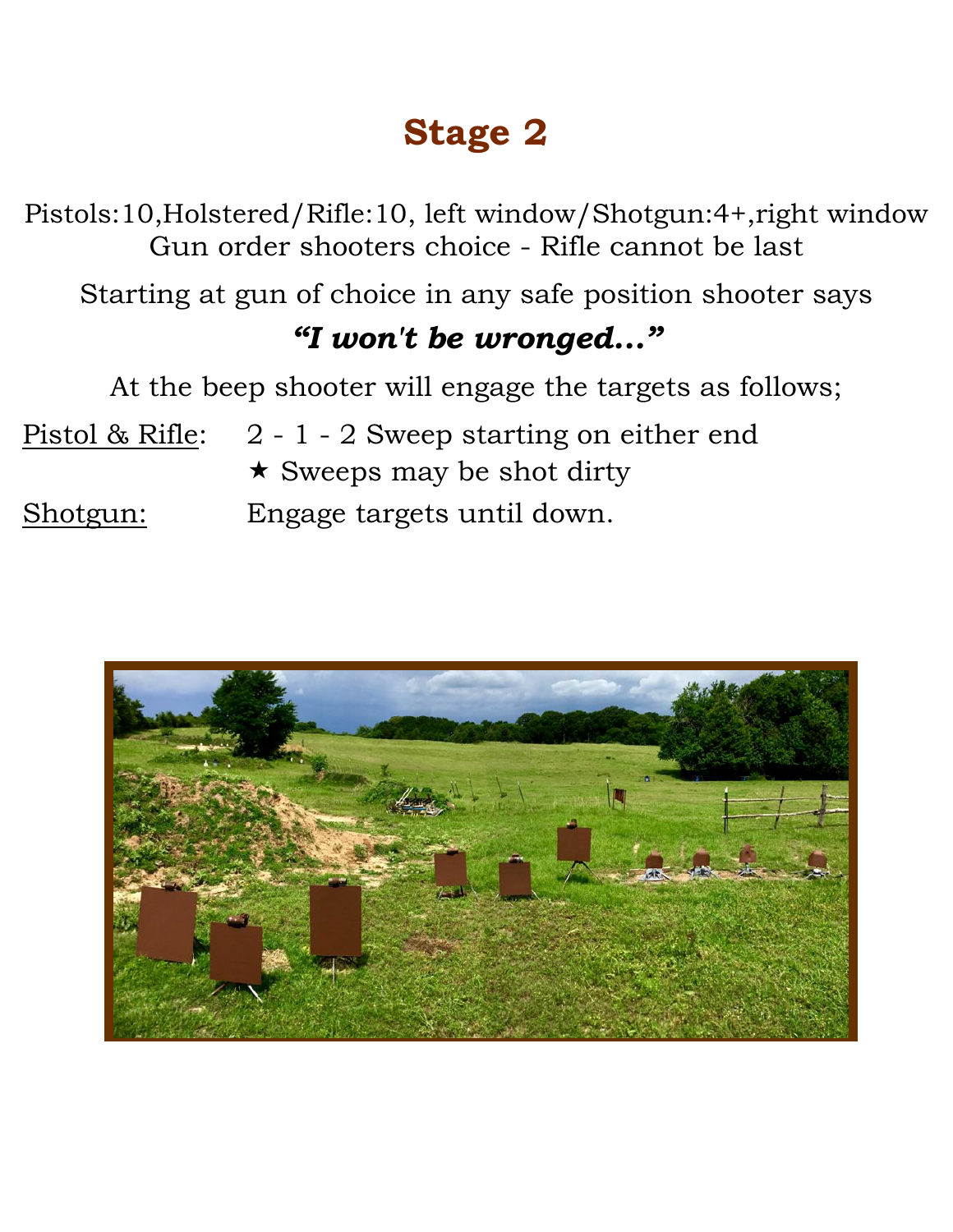Pistols:10,Holstered/Rifle:10, left window/Shotgun:4+,right window Gun order shooters choice - Rifle cannot be last

Starting at gun of choice in any safe position shooter says

#### *"I won't be wronged..."*

At the beep shooter will engage the targets as follows;

Pistol & Rifle: 2 - 1 - 2 Sweep starting on either end  $\star$  Sweeps may be shot dirty

Shotgun: Engage targets until down.

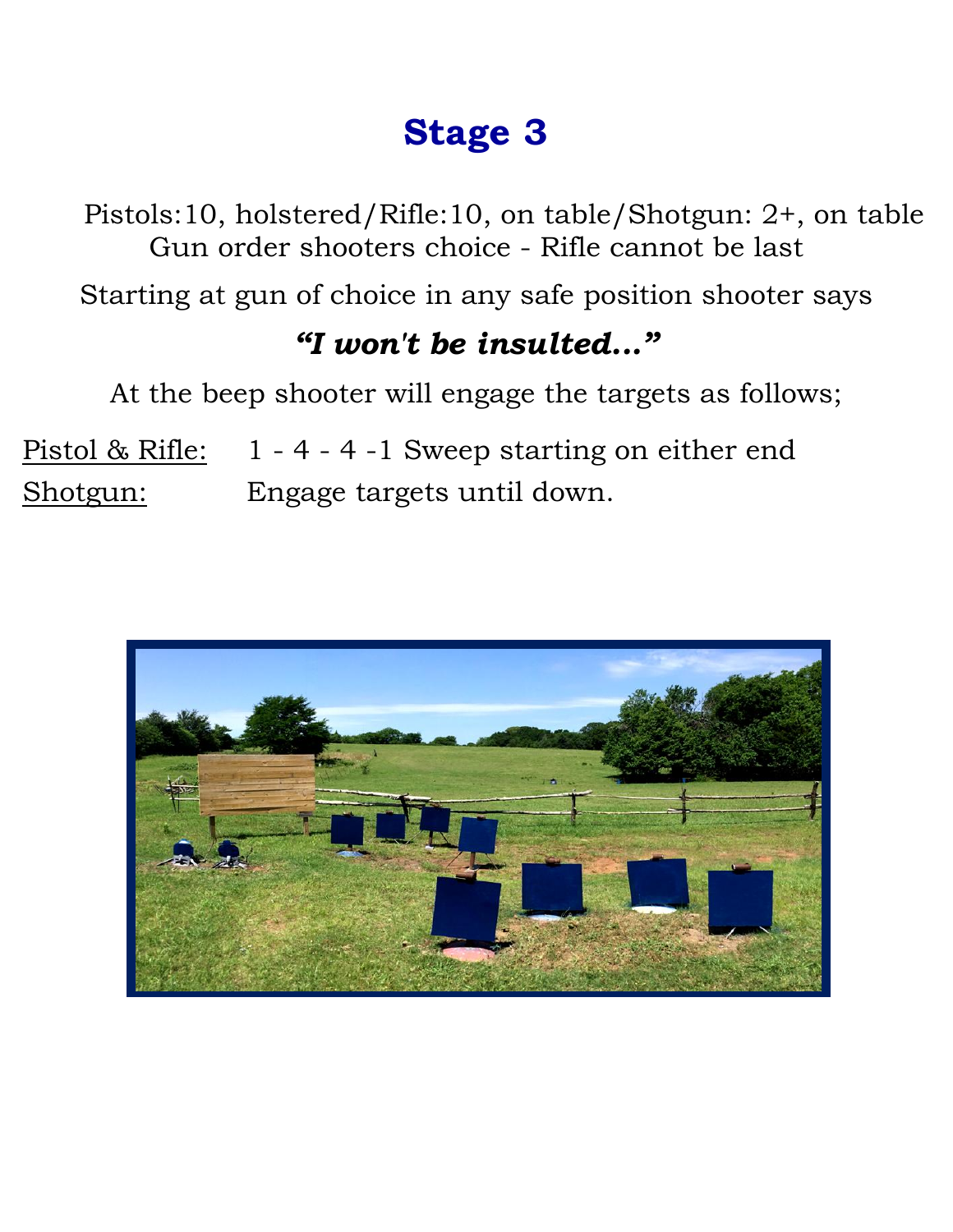Pistols:10, holstered/Rifle:10, on table/Shotgun: 2+, on table Gun order shooters choice - Rifle cannot be last

Starting at gun of choice in any safe position shooter says

#### *"I won't be insulted..."*

At the beep shooter will engage the targets as follows;

Pistol & Rifle: 1 - 4 - 4 -1 Sweep starting on either end Shotgun: Engage targets until down.

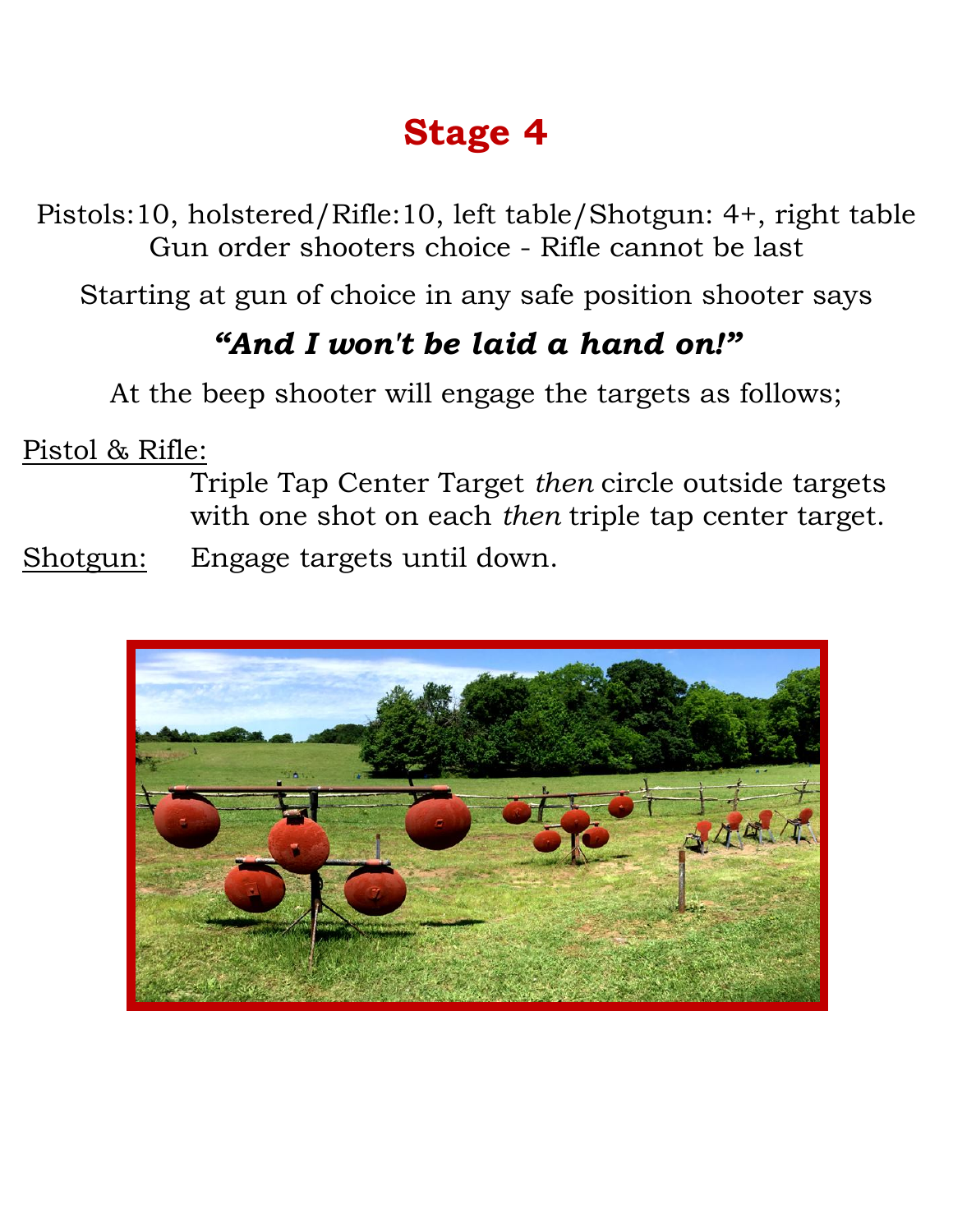Pistols:10, holstered/Rifle:10, left table/Shotgun: 4+, right table Gun order shooters choice - Rifle cannot be last

Starting at gun of choice in any safe position shooter says

### *"And I won't be laid a hand on!"*

At the beep shooter will engage the targets as follows;

Pistol & Rifle:

Triple Tap Center Target *then* circle outside targets with one shot on each *then* triple tap center target.

Shotgun: Engage targets until down.

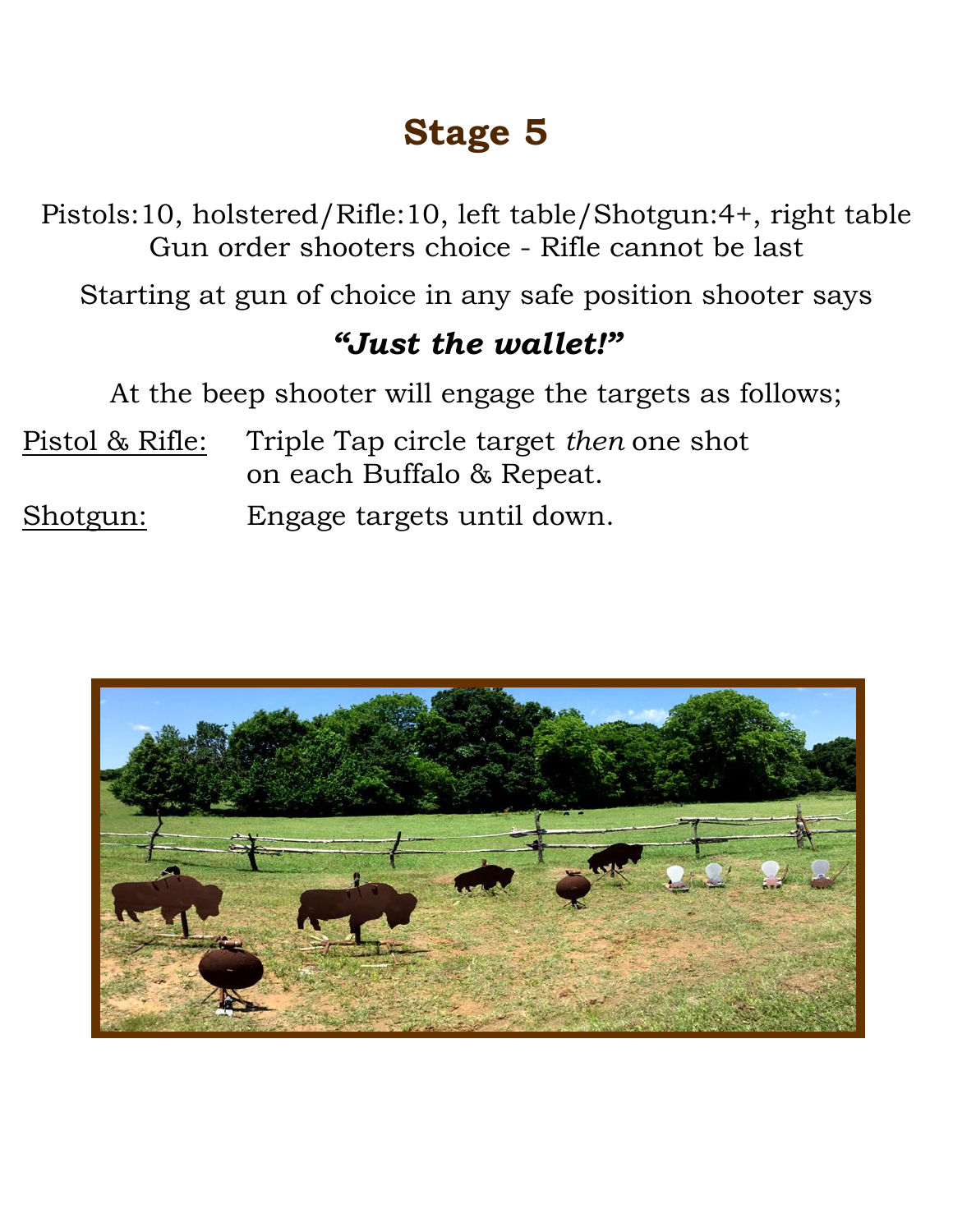Pistols:10, holstered/Rifle:10, left table/Shotgun:4+, right table Gun order shooters choice - Rifle cannot be last

Starting at gun of choice in any safe position shooter says

#### *"Just the wallet!"*

At the beep shooter will engage the targets as follows;

- Pistol & Rifle: Triple Tap circle target *then* one shot on each Buffalo & Repeat.
- Shotgun: Engage targets until down.

![](_page_4_Picture_7.jpeg)